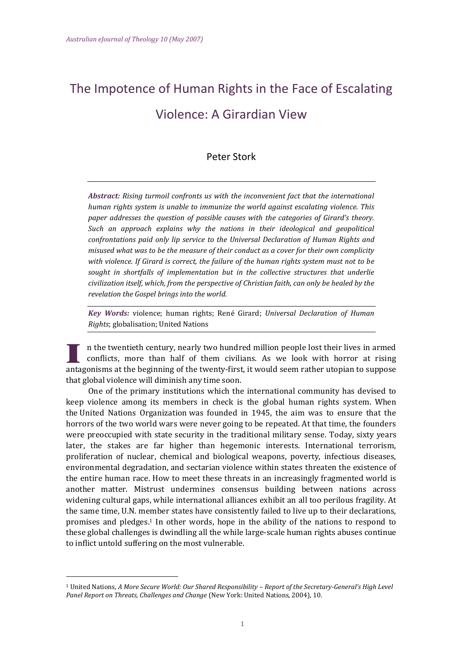# The Impotence of Human Rights in the Face of Escalating Violence: A Girardian View

## Peter Stork

*Abstract: Rising turmoil confronts us with the inconvenient fact that the international human rights system is unable to immunize the world against escalating violence. This paper addresses the question of possible causes with the categories of Girard's theory. Such an approach explains why the nations in their ideological and geopolitical confrontations paid only lip service to the Universal Declaration of Human Rights and misused what was to be the measure of their conduct as a cover for their own complicity with violence. If Girard is correct, the failure of the human rights system must not to be sought in shortfalls of implementation but in the collective structures that underlie civilization itself, which, from the perspective of Christian faith, can only be healed by the revelation the Gospel brings into the world.*

*Key Words:* violence; human rights; René Girard; *Universal Declaration of Human Rights*; globalisation; United Nations

n the twentieth century, nearly two hundred million people lost their lives in armed conflicts, more than half of them civilians. As we look with horror at rising antagonisms at the beginning of the twenty-first, it would seem rather utopian to suppose that global violence will diminish any time soon.

One of the primary institutions which the international community has devised to keep violence among its members in check is the global human rights system. When the United Nations Organization was founded in 1945, the aim was to ensure that the horrors of the two world wars were never going to be repeated. At that time, the founders were preoccupied with state security in the traditional military sense. Today, sixty years later, the stakes are far higher than hegemonic interests. International terrorism, proliferation of nuclear, chemical and biological weapons, poverty, infectious diseases, environmental degradation, and sectarian violence within states threaten the existence of the entire human race. How to meet these threats in an increasingly fragmented world is another matter. Mistrust undermines consensus building between nations across widening cultural gaps, while international alliances exhibit an all too perilous fragility. At the same time, U.N. member states have consistently failed to live up to their declarations, promises and pledges.<sup>1</sup> In other words, hope in the ability of the nations to respond to these global challenges is dwindling all the while large-scale human rights abuses continue to inflict untold suffering on the most vulnerable.

 $\overline{\phantom{a}}$ 

<sup>1</sup> United Nations, *A More Secure World: Our Shared Responsibility – Report of the Secretary-General's High Level Panel Report on Threats, Challenges and Change* (New York: United Nations, 2004), 10.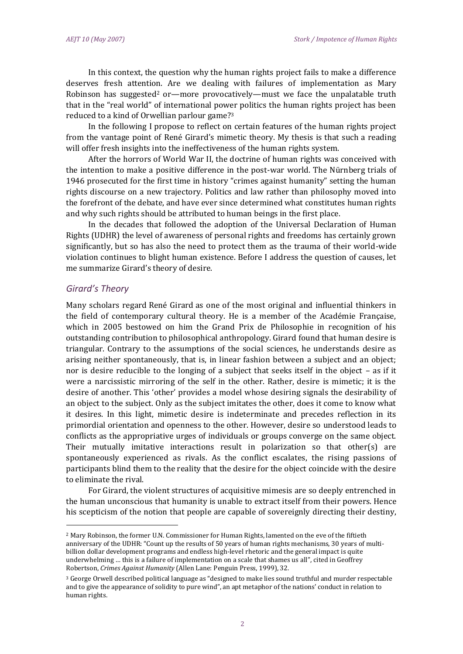In this context, the question why the human rights project fails to make a difference deserves fresh attention. Are we dealing with failures of implementation as Mary Robinson has suggested<sup>2</sup> or—more provocatively—must we face the unpalatable truth that in the "real world" of international power politics the human rights project has been reduced to a kind of Orwellian parlour game?<sup>3</sup>

In the following I propose to reflect on certain features of the human rights project from the vantage point of René Girard's mimetic theory. My thesis is that such a reading will offer fresh insights into the ineffectiveness of the human rights system.

After the horrors of World War II, the doctrine of human rights was conceived with the intention to make a positive difference in the post-war world. The Nürnberg trials of 1946 prosecuted for the first time in history "crimes against humanity" setting the human rights discourse on a new trajectory. Politics and law rather than philosophy moved into the forefront of the debate, and have ever since determined what constitutes human rights and why such rights should be attributed to human beings in the first place.

In the decades that followed the adoption of the Universal Declaration of Human Rights (UDHR) the level of awareness of personal rights and freedoms has certainly grown significantly, but so has also the need to protect them as the trauma of their world-wide violation continues to blight human existence. Before I address the question of causes, let me summarize Girard's theory of desire.

### *Girard's Theory*

l

Many scholars regard René Girard as one of the most original and influential thinkers in the field of contemporary cultural theory. He is a member of the Académie Française, which in 2005 bestowed on him the Grand Prix de Philosophie in recognition of his outstanding contribution to philosophical anthropology. Girard found that human desire is triangular. Contrary to the assumptions of the social sciences, he understands desire as arising neither spontaneously, that is, in linear fashion between a subject and an object; nor is desire reducible to the longing of a subject that seeks itself in the object – as if it were a narcissistic mirroring of the self in the other. Rather, desire is mimetic; it is the desire of another. This 'other' provides a model whose desiring signals the desirability of an object to the subject. Only as the subject imitates the other, does it come to know what it desires. In this light, mimetic desire is indeterminate and precedes reflection in its primordial orientation and openness to the other. However, desire so understood leads to conflicts as the appropriative urges of individuals or groups converge on the same object. Their mutually imitative interactions result in polarization so that other(s) are spontaneously experienced as rivals. As the conflict escalates, the rising passions of participants blind them to the reality that the desire for the object coincide with the desire to eliminate the rival.

For Girard, the violent structures of acquisitive mimesis are so deeply entrenched in the human unconscious that humanity is unable to extract itself from their powers. Hence his scepticism of the notion that people are capable of sovereignly directing their destiny,

<sup>2</sup> Mary Robinson, the former U.N. Commissioner for Human Rights, lamented on the eve of the fiftieth anniversary of the UDHR: "Count up the results of 50 years of human rights mechanisms, 30 years of multibillion dollar development programs and endless high-level rhetoric and the general impact is quite underwhelming … this is a failure of implementation on a scale that shames us all", cited in Geoffrey Robertson, *Crimes Against Humanity* (Allen Lane: Penguin Press, 1999), 32.

<sup>&</sup>lt;sup>3</sup> George Orwell described political language as "designed to make lies sound truthful and murder respectable and to give the appearance of solidity to pure wind", an apt metaphor of the nations' conduct in relation to human rights.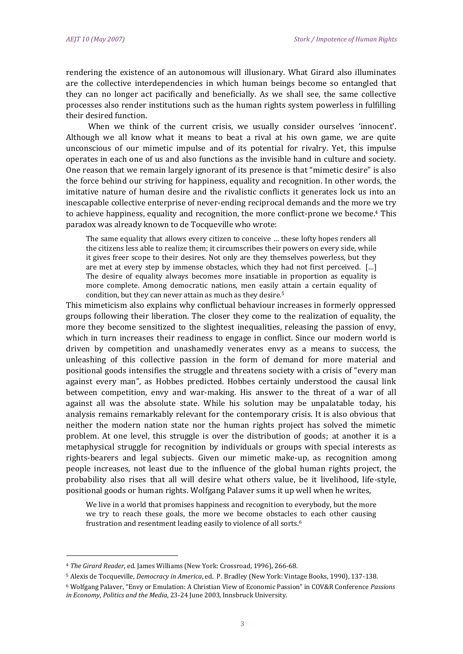rendering the existence of an autonomous will illusionary. What Girard also illuminates are the collective interdependencies in which human beings become so entangled that they can no longer act pacifically and beneficially. As we shall see, the same collective processes also render institutions such as the human rights system powerless in fulfilling their desired function.

When we think of the current crisis, we usually consider ourselves 'innocent'. Although we all know what it means to beat a rival at his own game, we are quite unconscious of our mimetic impulse and of its potential for rivalry. Yet, this impulse operates in each one of us and also functions as the invisible hand in culture and society. One reason that we remain largely ignorant of its presence is that "mimetic desire" is also the force behind our striving for happiness, equality and recognition. In other words, the imitative nature of human desire and the rivalistic conflicts it generates lock us into an inescapable collective enterprise of never-ending reciprocal demands and the more we try to achieve happiness, equality and recognition, the more conflict-prone we become.<sup>4</sup> This paradox was already known to de Tocqueville who wrote:

The same equality that allows every citizen to conceive … these lofty hopes renders all the citizens less able to realize them; it circumscribes their powers on every side, while it gives freer scope to their desires. Not only are they themselves powerless, but they are met at every step by immense obstacles, which they had not first perceived. […] The desire of equality always becomes more insatiable in proportion as equality is more complete. Among democratic nations, men easily attain a certain equality of condition, but they can never attain as much as they desire.<sup>5</sup>

This mimeticism also explains why conflictual behaviour increases in formerly oppressed groups following their liberation. The closer they come to the realization of equality, the more they become sensitized to the slightest inequalities, releasing the passion of envy, which in turn increases their readiness to engage in conflict. Since our modern world is driven by competition and unashamedly venerates envy as a means to success, the unleashing of this collective passion in the form of demand for more material and positional goods intensifies the struggle and threatens society with a crisis of "every man against every man", as Hobbes predicted. Hobbes certainly understood the causal link between competition, envy and war-making. His answer to the threat of a war of all against all was the absolute state. While his solution may be unpalatable today, his analysis remains remarkably relevant for the contemporary crisis. It is also obvious that neither the modern nation state nor the human rights project has solved the mimetic problem. At one level, this struggle is over the distribution of goods; at another it is a metaphysical struggle for recognition by individuals or groups with special interests as rights-bearers and legal subjects. Given our mimetic make-up, as recognition among people increases, not least due to the influence of the global human rights project, the probability also rises that all will desire what others value, be it livelihood, life-style, positional goods or human rights. Wolfgang Palaver sums it up well when he writes,

We live in a world that promises happiness and recognition to everybody, but the more we try to reach these goals, the more we become obstacles to each other causing frustration and resentment leading easily to violence of all sorts.<sup>6</sup>

 $\overline{\phantom{a}}$ 

<sup>4</sup> *The Girard Reader*, ed. James Williams (New York: Crossroad, 1996), 266-68.

<sup>5</sup> Alexis de Tocqueville, *Democracy in America*, ed. P. Bradley (New York: Vintage Books, 1990), 137-138.

<sup>6</sup> Wolfgang Palaver, "Envy or Emulation: A Christian View of Economic Passion" in COV&R Conference *Passions in Economy, Politics and the Media*, 23-24 June 2003, Innsbruck University.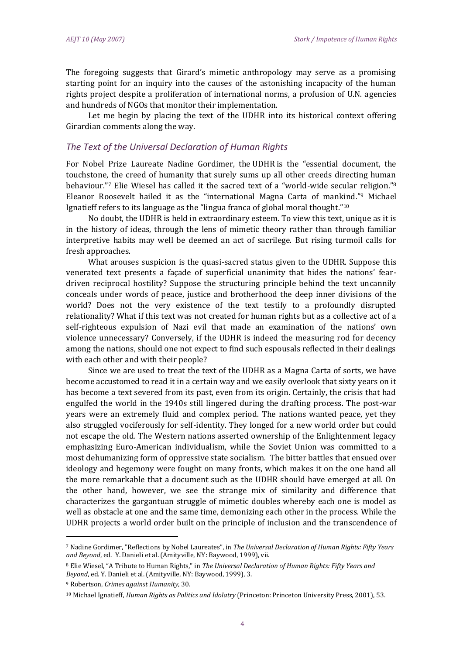The foregoing suggests that Girard's mimetic anthropology may serve as a promising starting point for an inquiry into the causes of the astonishing incapacity of the human rights project despite a proliferation of international norms, a profusion of U.N. agencies and hundreds of NGOs that monitor their implementation.

Let me begin by placing the text of the UDHR into its historical context offering Girardian comments along the way.

#### *The Text of the Universal Declaration of Human Rights*

For Nobel Prize Laureate Nadine Gordimer, the UDHR is the "essential document, the touchstone, the creed of humanity that surely sums up all other creeds directing human behaviour."7 Elie Wiesel has called it the sacred text of a "world-wide secular religion."<sup>8</sup> Eleanor Roosevelt hailed it as the "international Magna Carta of mankind." <sup>9</sup> Michael Ignatieff refers to its language as the "lingua franca of global moral thought."<sup>10</sup>

No doubt, the UDHR is held in extraordinary esteem. To view this text, unique as it is in the history of ideas, through the lens of mimetic theory rather than through familiar interpretive habits may well be deemed an act of sacrilege. But rising turmoil calls for fresh approaches.

What arouses suspicion is the quasi-sacred status given to the UDHR. Suppose this venerated text presents a façade of superficial unanimity that hides the nations' feardriven reciprocal hostility? Suppose the structuring principle behind the text uncannily conceals under words of peace, justice and brotherhood the deep inner divisions of the world? Does not the very existence of the text testify to a profoundly disrupted relationality? What if this text was not created for human rights but as a collective act of a self-righteous expulsion of Nazi evil that made an examination of the nations' own violence unnecessary? Conversely, if the UDHR is indeed the measuring rod for decency among the nations, should one not expect to find such espousals reflected in their dealings with each other and with their people?

Since we are used to treat the text of the UDHR as a Magna Carta of sorts, we have become accustomed to read it in a certain way and we easily overlook that sixty years on it has become a text severed from its past, even from its origin. Certainly, the crisis that had engulfed the world in the 1940s still lingered during the drafting process. The post-war years were an extremely fluid and complex period. The nations wanted peace, yet they also struggled vociferously for self-identity. They longed for a new world order but could not escape the old. The Western nations asserted ownership of the Enlightenment legacy emphasizing Euro-American individualism, while the Soviet Union was committed to a most dehumanizing form of oppressive state socialism. The bitter battles that ensued over ideology and hegemony were fought on many fronts, which makes it on the one hand all the more remarkable that a document such as the UDHR should have emerged at all. On the other hand, however, we see the strange mix of similarity and difference that characterizes the gargantuan struggle of mimetic doubles whereby each one is model as well as obstacle at one and the same time, demonizing each other in the process. While the UDHR projects a world order built on the principle of inclusion and the transcendence of

l

<sup>7</sup> Nadine Gordimer, "Reflections by Nobel Laureates", in *The Universal Declaration of Human Rights: Fifty Years and Beyond*, ed. Y. Danieli et al. (Amityville, NY: Baywood, 1999), vii.

<sup>8</sup> Elie Wiesel, "A Tribute to Human Rights," in *The Universal Declaration of Human Rights: Fifty Years and Beyond*, ed. Y. Danieli et al. (Amityville, NY: Baywood, 1999), 3.

<sup>9</sup> Robertson, *Crimes against Humanity*, 30.

<sup>10</sup> Michael Ignatieff, *Human Rights as Politics and Idolatry* (Princeton: Princeton University Press, 2001), 53.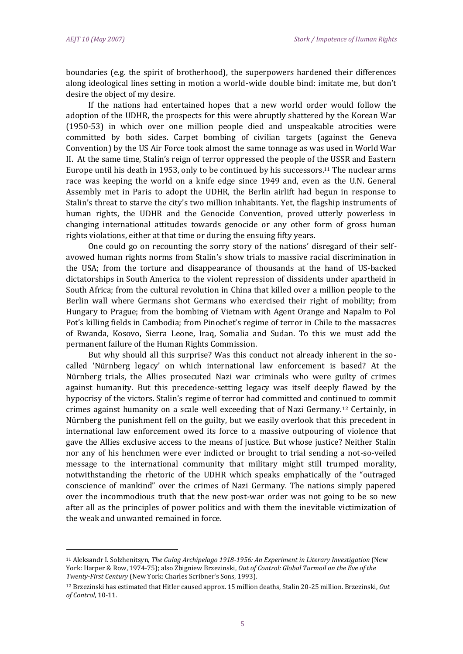$\overline{\phantom{a}}$ 

boundaries (e.g. the spirit of brotherhood), the superpowers hardened their differences along ideological lines setting in motion a world-wide double bind: imitate me, but don't desire the object of my desire.

If the nations had entertained hopes that a new world order would follow the adoption of the UDHR, the prospects for this were abruptly shattered by the Korean War (1950-53) in which over one million people died and unspeakable atrocities were committed by both sides. Carpet bombing of civilian targets (against the Geneva Convention) by the US Air Force took almost the same tonnage as was used in World War II. At the same time, Stalin's reign of terror oppressed the people of the USSR and Eastern Europe until his death in 1953, only to be continued by his successors.<sup>11</sup> The nuclear arms race was keeping the world on a knife edge since 1949 and, even as the U.N. General Assembly met in Paris to adopt the UDHR, the Berlin airlift had begun in response to Stalin's threat to starve the city's two million inhabitants. Yet, the flagship instruments of human rights, the UDHR and the Genocide Convention, proved utterly powerless in changing international attitudes towards genocide or any other form of gross human rights violations, either at that time or during the ensuing fifty years.

One could go on recounting the sorry story of the nations' disregard of their selfavowed human rights norms from Stalin's show trials to massive racial discrimination in the USA; from the torture and disappearance of thousands at the hand of US-backed dictatorships in South America to the violent repression of dissidents under apartheid in South Africa; from the cultural revolution in China that killed over a million people to the Berlin wall where Germans shot Germans who exercised their right of mobility; from Hungary to Prague; from the bombing of Vietnam with Agent Orange and Napalm to Pol Pot's killing fields in Cambodia; from Pinochet's regime of terror in Chile to the massacres of Rwanda, Kosovo, Sierra Leone, Iraq, Somalia and Sudan. To this we must add the permanent failure of the Human Rights Commission.

But why should all this surprise? Was this conduct not already inherent in the socalled 'Nürnberg legacy' on which international law enforcement is based? At the Nürnberg trials, the Allies prosecuted Nazi war criminals who were guilty of crimes against humanity. But this precedence-setting legacy was itself deeply flawed by the hypocrisy of the victors. Stalin's regime of terror had committed and continued to commit crimes against humanity on a scale well exceeding that of Nazi Germany.<sup>12</sup> Certainly, in Nürnberg the punishment fell on the guilty, but we easily overlook that this precedent in international law enforcement owed its force to a massive outpouring of violence that gave the Allies exclusive access to the means of justice. But whose justice? Neither Stalin nor any of his henchmen were ever indicted or brought to trial sending a not-so-veiled message to the international community that military might still trumped morality, notwithstanding the rhetoric of the UDHR which speaks emphatically of the "outraged conscience of mankind" over the crimes of Nazi Germany. The nations simply papered over the incommodious truth that the new post-war order was not going to be so new after all as the principles of power politics and with them the inevitable victimization of the weak and unwanted remained in force.

<sup>11</sup> Aleksandr I. Solzhenitsyn, *The Gulag Archipelago 1918-1956: An Experiment in Literary Investigation* (New York: Harper & Row, 1974-75); also Zbigniew Brzezinski, *Out of Control: Global Turmoil on the Eve of the Twenty-First Century* (New York: Charles Scribner's Sons, 1993).

<sup>12</sup> Brzezinski has estimated that Hitler caused approx. 15 million deaths, Stalin 20-25 million. Brzezinski, *Out of Control*, 10-11.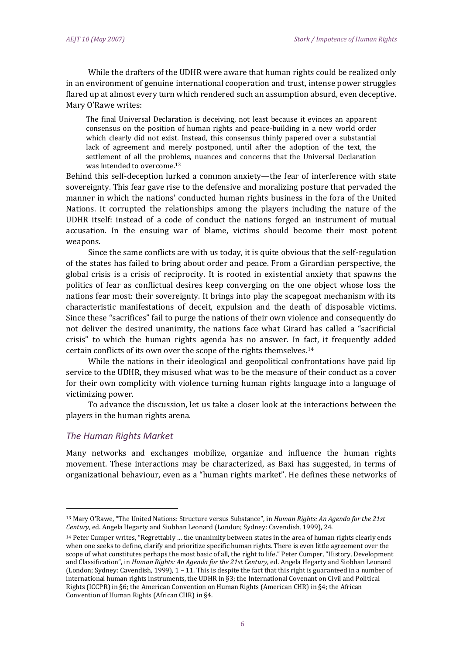While the drafters of the UDHR were aware that human rights could be realized only in an environment of genuine international cooperation and trust, intense power struggles flared up at almost every turn which rendered such an assumption absurd, even deceptive. Mary O'Rawe writes:

The final Universal Declaration is deceiving, not least because it evinces an apparent consensus on the position of human rights and peace-building in a new world order which clearly did not exist. Instead, this consensus thinly papered over a substantial lack of agreement and merely postponed, until after the adoption of the text, the settlement of all the problems, nuances and concerns that the Universal Declaration was intended to overcome.<sup>13</sup>

Behind this self-deception lurked a common anxiety—the fear of interference with state sovereignty. This fear gave rise to the defensive and moralizing posture that pervaded the manner in which the nations' conducted human rights business in the fora of the United Nations. It corrupted the relationships among the players including the nature of the UDHR itself: instead of a code of conduct the nations forged an instrument of mutual accusation. In the ensuing war of blame, victims should become their most potent weapons.

Since the same conflicts are with us today, it is quite obvious that the self-regulation of the states has failed to bring about order and peace. From a Girardian perspective, the global crisis is a crisis of reciprocity. It is rooted in existential anxiety that spawns the politics of fear as conflictual desires keep converging on the one object whose loss the nations fear most: their sovereignty. It brings into play the scapegoat mechanism with its characteristic manifestations of deceit, expulsion and the death of disposable victims. Since these "sacrifices" fail to purge the nations of their own violence and consequently do not deliver the desired unanimity, the nations face what Girard has called a "sacrificial crisis" to which the human rights agenda has no answer. In fact, it frequently added certain conflicts of its own over the scope of the rights themselves.<sup>14</sup>

While the nations in their ideological and geopolitical confrontations have paid lip service to the UDHR, they misused what was to be the measure of their conduct as a cover for their own complicity with violence turning human rights language into a language of victimizing power.

To advance the discussion, let us take a closer look at the interactions between the players in the human rights arena.

#### *The Human Rights Market*

 $\overline{\phantom{a}}$ 

Many networks and exchanges mobilize, organize and influence the human rights movement. These interactions may be characterized, as Baxi has suggested, in terms of organizational behaviour, even as a "human rights market". He defines these networks of

<sup>13</sup> Mary O'Rawe, "The United Nations: Structure versus Substance", in *Human Rights: An Agenda for the 21st Century*, ed. Angela Hegarty and Siobhan Leonard (London; Sydney: Cavendish, 1999), 24.

<sup>14</sup> Peter Cumper writes, "Regrettably … the unanimity between states in the area of human rights clearly ends when one seeks to define, clarify and prioritize specific human rights. There is even little agreement over the scope of what constitutes perhaps the most basic of all, the right to life." Peter Cumper, "History, Development and Classification", in *Human Rights: An Agenda for the 21st Century*, ed. Angela Hegarty and Siobhan Leonard (London; Sydney: Cavendish, 1999), 1 – 11. This is despite the fact that this right is guaranteed in a number of international human rights instruments, the UDHR in §3; the International Covenant on Civil and Political Rights (ICCPR) in §6; the American Convention on Human Rights (American CHR) in §4; the African Convention of Human Rights (African CHR) in §4.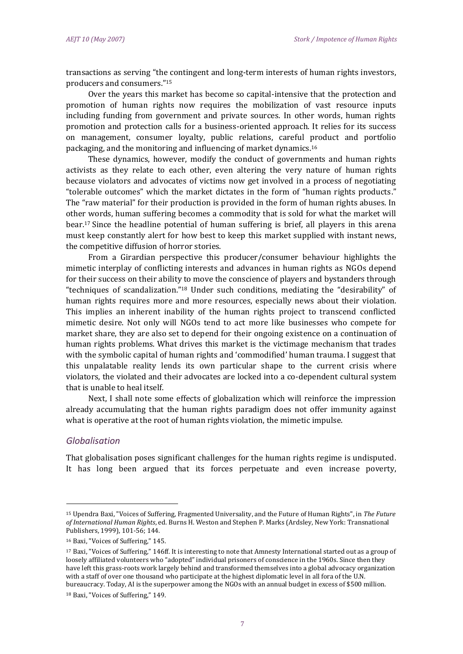transactions as serving "the contingent and long-term interests of human rights investors, producers and consumers." 15

Over the years this market has become so capital-intensive that the protection and promotion of human rights now requires the mobilization of vast resource inputs including funding from government and private sources. In other words, human rights promotion and protection calls for a business-oriented approach. It relies for its success on management, consumer loyalty, public relations, careful product and portfolio packaging, and the monitoring and influencing of market dynamics.<sup>16</sup>

These dynamics, however, modify the conduct of governments and human rights activists as they relate to each other, even altering the very nature of human rights because violators and advocates of victims now get involved in a process of negotiating "tolerable outcomes" which the market dictates in the form of "human rights products." The "raw material" for their production is provided in the form of human rights abuses. In other words, human suffering becomes a commodity that is sold for what the market will bear.<sup>17</sup> Since the headline potential of human suffering is brief, all players in this arena must keep constantly alert for how best to keep this market supplied with instant news, the competitive diffusion of horror stories.

From a Girardian perspective this producer/consumer behaviour highlights the mimetic interplay of conflicting interests and advances in human rights as NGOs depend for their success on their ability to move the conscience of players and bystanders through "techniques of scandalization." <sup>18</sup> Under such conditions, mediating the "desirability" of human rights requires more and more resources, especially news about their violation. This implies an inherent inability of the human rights project to transcend conflicted mimetic desire. Not only will NGOs tend to act more like businesses who compete for market share, they are also set to depend for their ongoing existence on a continuation of human rights problems. What drives this market is the victimage mechanism that trades with the symbolic capital of human rights and 'commodified' human trauma. I suggest that this unpalatable reality lends its own particular shape to the current crisis where violators, the violated and their advocates are locked into a co-dependent cultural system that is unable to heal itself.

Next, I shall note some effects of globalization which will reinforce the impression already accumulating that the human rights paradigm does not offer immunity against what is operative at the root of human rights violation, the mimetic impulse.

#### *Globalisation*

 $\overline{\phantom{a}}$ 

That globalisation poses significant challenges for the human rights regime is undisputed. It has long been argued that its forces perpetuate and even increase poverty,

<sup>15</sup> Upendra Baxi, "Voices of Suffering, Fragmented Universality, and the Future of Human Rights", in *The Future of International Human Rights*, ed. Burns H. Weston and Stephen P. Marks (Ardsley, New York: Transnational Publishers, 1999), 101-56; 144.

<sup>16</sup> Baxi, "Voices of Suffering," 145.

<sup>17</sup> Baxi, "Voices of Suffering," 146ff. It is interesting to note that Amnesty International started out as a group of loosely affiliated volunteers who "adopted" individual prisoners of conscience in the 1960s. Since then they have left this grass-roots work largely behind and transformed themselves into a global advocacy organization with a staff of over one thousand who participate at the highest diplomatic level in all fora of the U.N. bureaucracy. Today, AI is the superpower among the NGOs with an annual budget in excess of \$500 million.

<sup>18</sup> Baxi, "Voices of Suffering," 149.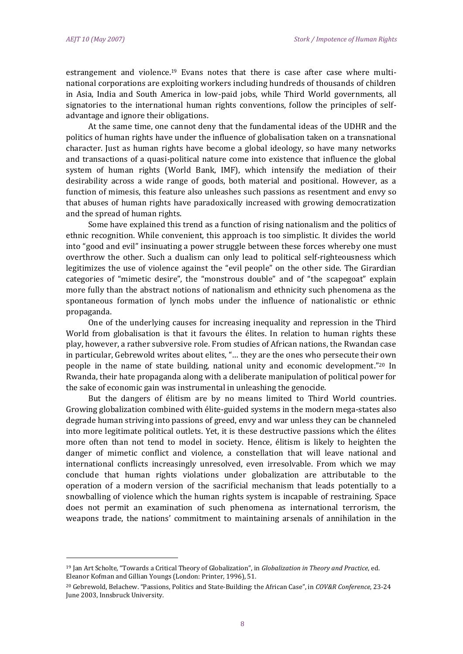$\overline{\phantom{a}}$ 

estrangement and violence.<sup>19</sup> Evans notes that there is case after case where multinational corporations are exploiting workers including hundreds of thousands of children in Asia, India and South America in low-paid jobs, while Third World governments, all signatories to the international human rights conventions, follow the principles of selfadvantage and ignore their obligations.

At the same time, one cannot deny that the fundamental ideas of the UDHR and the politics of human rights have under the influence of globalisation taken on a transnational character. Just as human rights have become a global ideology, so have many networks and transactions of a quasi-political nature come into existence that influence the global system of human rights (World Bank, IMF), which intensify the mediation of their desirability across a wide range of goods, both material and positional. However, as a function of mimesis, this feature also unleashes such passions as resentment and envy so that abuses of human rights have paradoxically increased with growing democratization and the spread of human rights.

Some have explained this trend as a function of rising nationalism and the politics of ethnic recognition. While convenient, this approach is too simplistic. It divides the world into "good and evil" insinuating a power struggle between these forces whereby one must overthrow the other. Such a dualism can only lead to political self-righteousness which legitimizes the use of violence against the "evil people" on the other side. The Girardian categories of "mimetic desire", the "monstrous double" and of "the scapegoat" explain more fully than the abstract notions of nationalism and ethnicity such phenomena as the spontaneous formation of lynch mobs under the influence of nationalistic or ethnic propaganda.

One of the underlying causes for increasing inequality and repression in the Third World from globalisation is that it favours the élites. In relation to human rights these play, however, a rather subversive role. From studies of African nations, the Rwandan case in particular, Gebrewold writes about elites, "… they are the ones who persecute their own people in the name of state building, national unity and economic development." <sup>20</sup> In Rwanda, their hate propaganda along with a deliberate manipulation of political power for the sake of economic gain was instrumental in unleashing the genocide.

But the dangers of élitism are by no means limited to Third World countries. Growing globalization combined with élite-guided systems in the modern mega-states also degrade human striving into passions of greed, envy and war unless they can be channeled into more legitimate political outlets. Yet, it is these destructive passions which the élites more often than not tend to model in society. Hence, élitism is likely to heighten the danger of mimetic conflict and violence, a constellation that will leave national and international conflicts increasingly unresolved, even irresolvable. From which we may conclude that human rights violations under globalization are attributable to the operation of a modern version of the sacrificial mechanism that leads potentially to a snowballing of violence which the human rights system is incapable of restraining. Space does not permit an examination of such phenomena as international terrorism, the weapons trade, the nations' commitment to maintaining arsenals of annihilation in the

<sup>19</sup> Jan Art Scholte, "Towards a Critical Theory of Globalization", in *Globalization in Theory and Practice*, ed. Eleanor Kofman and Gillian Youngs (London: Printer, 1996), 51.

<sup>20</sup> Gebrewold, Belachew. "Passions, Politics and State-Building: the African Case", in *COV&R Conference*, 23-24 June 2003, Innsbruck University.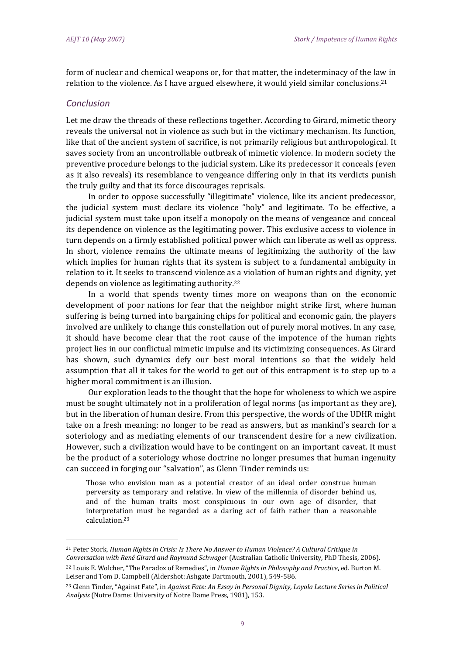form of nuclear and chemical weapons or, for that matter, the indeterminacy of the law in relation to the violence. As I have argued elsewhere, it would yield similar conclusions.<sup>21</sup>

#### *Conclusion*

l

Let me draw the threads of these reflections together. According to Girard, mimetic theory reveals the universal not in violence as such but in the victimary mechanism. Its function, like that of the ancient system of sacrifice, is not primarily religious but anthropological. It saves society from an uncontrollable outbreak of mimetic violence. In modern society the preventive procedure belongs to the judicial system. Like its predecessor it conceals (even as it also reveals) its resemblance to vengeance differing only in that its verdicts punish the truly guilty and that its force discourages reprisals.

In order to oppose successfully "illegitimate" violence, like its ancient predecessor, the judicial system must declare its violence "holy" and legitimate. To be effective, a judicial system must take upon itself a monopoly on the means of vengeance and conceal its dependence on violence as the legitimating power. This exclusive access to violence in turn depends on a firmly established political power which can liberate as well as oppress. In short, violence remains the ultimate means of legitimizing the authority of the law which implies for human rights that its system is subject to a fundamental ambiguity in relation to it. It seeks to transcend violence as a violation of human rights and dignity, yet depends on violence as legitimating authority.<sup>22</sup>

In a world that spends twenty times more on weapons than on the economic development of poor nations for fear that the neighbor might strike first, where human suffering is being turned into bargaining chips for political and economic gain, the players involved are unlikely to change this constellation out of purely moral motives. In any case, it should have become clear that the root cause of the impotence of the human rights project lies in our conflictual mimetic impulse and its victimizing consequences. As Girard has shown, such dynamics defy our best moral intentions so that the widely held assumption that all it takes for the world to get out of this entrapment is to step up to a higher moral commitment is an illusion.

Our exploration leads to the thought that the hope for wholeness to which we aspire must be sought ultimately not in a proliferation of legal norms (as important as they are), but in the liberation of human desire. From this perspective, the words of the UDHR might take on a fresh meaning: no longer to be read as answers, but as mankind's search for a soteriology and as mediating elements of our transcendent desire for a new civilization. However, such a civilization would have to be contingent on an important caveat. It must be the product of a soteriology whose doctrine no longer presumes that human ingenuity can succeed in forging our "salvation", as Glenn Tinder reminds us:

Those who envision man as a potential creator of an ideal order construe human perversity as temporary and relative. In view of the millennia of disorder behind us, and of the human traits most conspicuous in our own age of disorder, that interpretation must be regarded as a daring act of faith rather than a reasonable calculation.<sup>23</sup>

<sup>21</sup> Peter Stork, *Human Rights in Crisis: Is There No Answer to Human Violence? A Cultural Critique in Conversation with René Girard and Raymund Schwager* (Australian Catholic University, PhD Thesis, 2006). <sup>22</sup> Louis E. Wolcher, "The Paradox of Remedies", in *Human Rights in Philosophy and Practice*, ed. Burton M.

Leiser and Tom D. Campbell (Aldershot: Ashgate Dartmouth, 2001), 549-586.

<sup>23</sup> Glenn Tinder, "Against Fate", in *Against Fate: An Essay in Personal Dignity, Loyola Lecture Series in Political Analysis* (Notre Dame: University of Notre Dame Press, 1981), 153.